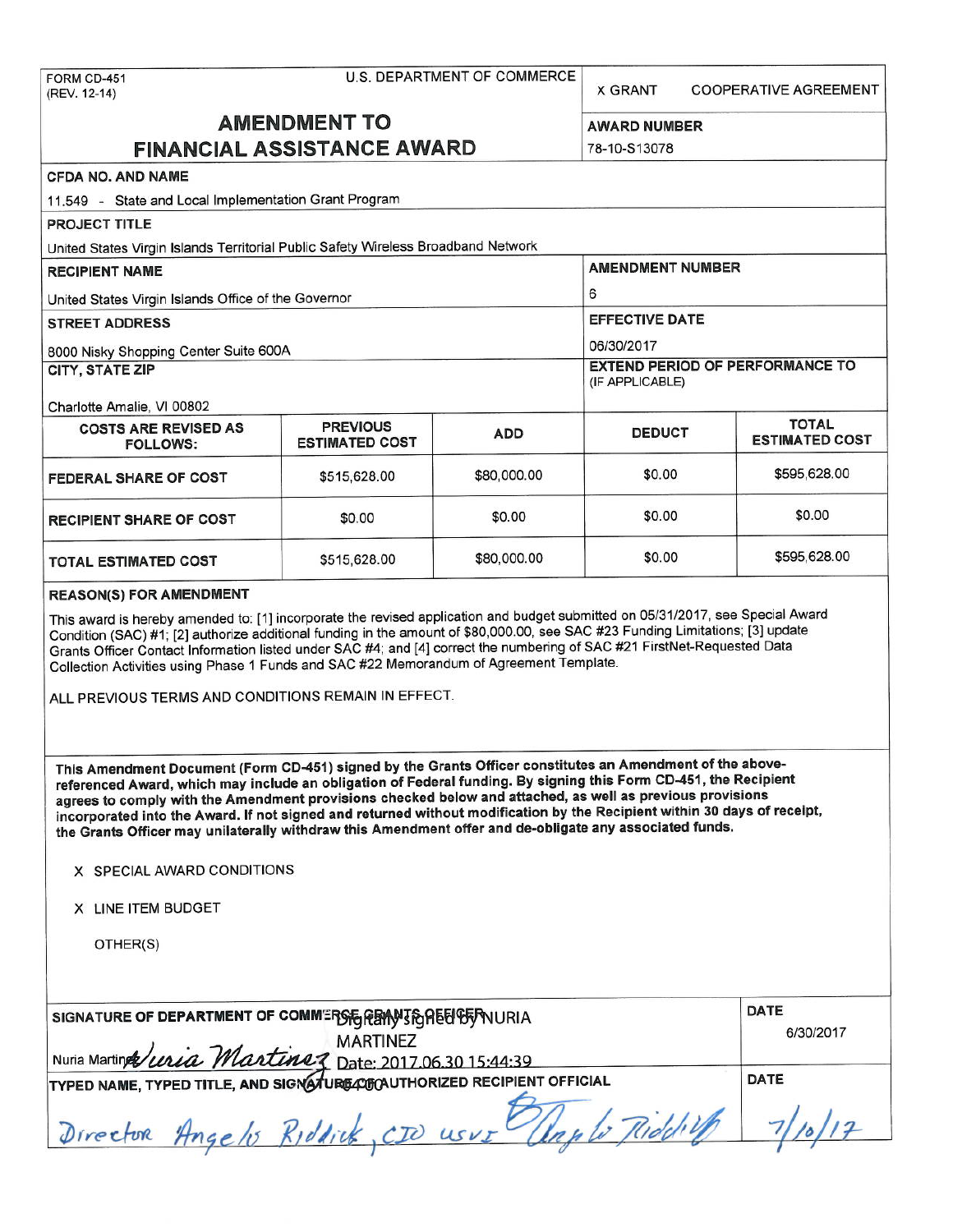X GRANT COOPERATIVE AGREEMENT

# **AMENDMENT TO** AWARD NUMBER

| <b>FINANCIAL ASSISTANCE AWARD</b>                                                                                                                                                                                                                                                                                                                                                                                                                                                                                                                                                                                                                                                                                                                                                                                                                                                                                                                                                                                                                                 | 78-10-S13078                             |             |                                                           |                                       |  |  |  |
|-------------------------------------------------------------------------------------------------------------------------------------------------------------------------------------------------------------------------------------------------------------------------------------------------------------------------------------------------------------------------------------------------------------------------------------------------------------------------------------------------------------------------------------------------------------------------------------------------------------------------------------------------------------------------------------------------------------------------------------------------------------------------------------------------------------------------------------------------------------------------------------------------------------------------------------------------------------------------------------------------------------------------------------------------------------------|------------------------------------------|-------------|-----------------------------------------------------------|---------------------------------------|--|--|--|
| <b>CFDA NO. AND NAME</b>                                                                                                                                                                                                                                                                                                                                                                                                                                                                                                                                                                                                                                                                                                                                                                                                                                                                                                                                                                                                                                          |                                          |             |                                                           |                                       |  |  |  |
| 11.549 - State and Local Implementation Grant Program                                                                                                                                                                                                                                                                                                                                                                                                                                                                                                                                                                                                                                                                                                                                                                                                                                                                                                                                                                                                             |                                          |             |                                                           |                                       |  |  |  |
| PROJECT TITLE                                                                                                                                                                                                                                                                                                                                                                                                                                                                                                                                                                                                                                                                                                                                                                                                                                                                                                                                                                                                                                                     |                                          |             |                                                           |                                       |  |  |  |
| United States Virgin Islands Territorial Public Safety Wireless Broadband Network                                                                                                                                                                                                                                                                                                                                                                                                                                                                                                                                                                                                                                                                                                                                                                                                                                                                                                                                                                                 |                                          |             |                                                           |                                       |  |  |  |
| <b>RECIPIENT NAME</b>                                                                                                                                                                                                                                                                                                                                                                                                                                                                                                                                                                                                                                                                                                                                                                                                                                                                                                                                                                                                                                             |                                          |             | <b>AMENDMENT NUMBER</b>                                   |                                       |  |  |  |
| United States Virgin Islands Office of the Governor                                                                                                                                                                                                                                                                                                                                                                                                                                                                                                                                                                                                                                                                                                                                                                                                                                                                                                                                                                                                               |                                          |             | 6                                                         |                                       |  |  |  |
| <b>STREET ADDRESS</b>                                                                                                                                                                                                                                                                                                                                                                                                                                                                                                                                                                                                                                                                                                                                                                                                                                                                                                                                                                                                                                             |                                          |             | <b>EFFECTIVE DATE</b>                                     |                                       |  |  |  |
| 8000 Nisky Shopping Center Suite 600A                                                                                                                                                                                                                                                                                                                                                                                                                                                                                                                                                                                                                                                                                                                                                                                                                                                                                                                                                                                                                             |                                          |             | 06/30/2017                                                |                                       |  |  |  |
| <b>CITY, STATE ZIP</b>                                                                                                                                                                                                                                                                                                                                                                                                                                                                                                                                                                                                                                                                                                                                                                                                                                                                                                                                                                                                                                            |                                          |             | <b>EXTEND PERIOD OF PERFORMANCE TO</b><br>(IF APPLICABLE) |                                       |  |  |  |
| Charlotte Amalie, VI 00802                                                                                                                                                                                                                                                                                                                                                                                                                                                                                                                                                                                                                                                                                                                                                                                                                                                                                                                                                                                                                                        |                                          |             |                                                           |                                       |  |  |  |
| <b>COSTS ARE REVISED AS</b><br><b>FOLLOWS:</b>                                                                                                                                                                                                                                                                                                                                                                                                                                                                                                                                                                                                                                                                                                                                                                                                                                                                                                                                                                                                                    | <b>PREVIOUS</b><br><b>ESTIMATED COST</b> | <b>ADD</b>  | <b>DEDUCT</b>                                             | <b>TOTAL</b><br><b>ESTIMATED COST</b> |  |  |  |
| <b>FEDERAL SHARE OF COST</b>                                                                                                                                                                                                                                                                                                                                                                                                                                                                                                                                                                                                                                                                                                                                                                                                                                                                                                                                                                                                                                      | \$515,628.00                             | \$80,000.00 | \$0.00                                                    | \$595,628.00                          |  |  |  |
| <b>RECIPIENT SHARE OF COST</b>                                                                                                                                                                                                                                                                                                                                                                                                                                                                                                                                                                                                                                                                                                                                                                                                                                                                                                                                                                                                                                    | \$0.00                                   | \$0.00      | \$0.00                                                    | \$0.00                                |  |  |  |
| <b>TOTAL ESTIMATED COST</b>                                                                                                                                                                                                                                                                                                                                                                                                                                                                                                                                                                                                                                                                                                                                                                                                                                                                                                                                                                                                                                       | \$515,628.00                             | \$80,000.00 | \$0.00                                                    | \$595,628.00                          |  |  |  |
| Condition (SAC) #1; [2] authorize additional funding in the amount of \$80,000.00, see SAC #23 Funding Limitations; [3] update<br>Grants Officer Contact Information listed under SAC #4; and [4] correct the numbering of SAC #21 FirstNet-Requested Data<br>Collection Activities using Phase 1 Funds and SAC #22 Memorandum of Agreement Template.<br>ALL PREVIOUS TERMS AND CONDITIONS REMAIN IN EFFECT.<br>This Amendment Document (Form CD-451) signed by the Grants Officer constitutes an Amendment of the above-<br>referenced Award, which may include an obligation of Federal funding. By signing this Form CD-451, the Recipient<br>agrees to comply with the Amendment provisions checked below and attached, as well as previous provisions<br>incorporated into the Award. If not signed and returned without modification by the Recipient within 30 days of receipt,<br>the Grants Officer may unilaterally withdraw this Amendment offer and de-obligate any associated funds.<br>X SPECIAL AWARD CONDITIONS<br>X LINE ITEM BUDGET<br>OTHER(S) |                                          |             |                                                           |                                       |  |  |  |
| <b>DATE</b><br>SIGNATURE OF DEPARTMENT OF COMMERSE REMAIS ARE US AURIA<br><b>MARTINEZ</b><br>Nuria Martings uria Martinez<br>Date: 2017.06.30 15:44:39<br><b>DATE</b><br>TYPED NAME, TYPED TITLE, AND SIGNATURG 40 THORIZED RECIPIENT OFFICIAL<br>Director Angelo Riddick, CIO USVI                                                                                                                                                                                                                                                                                                                                                                                                                                                                                                                                                                                                                                                                                                                                                                               |                                          |             |                                                           |                                       |  |  |  |